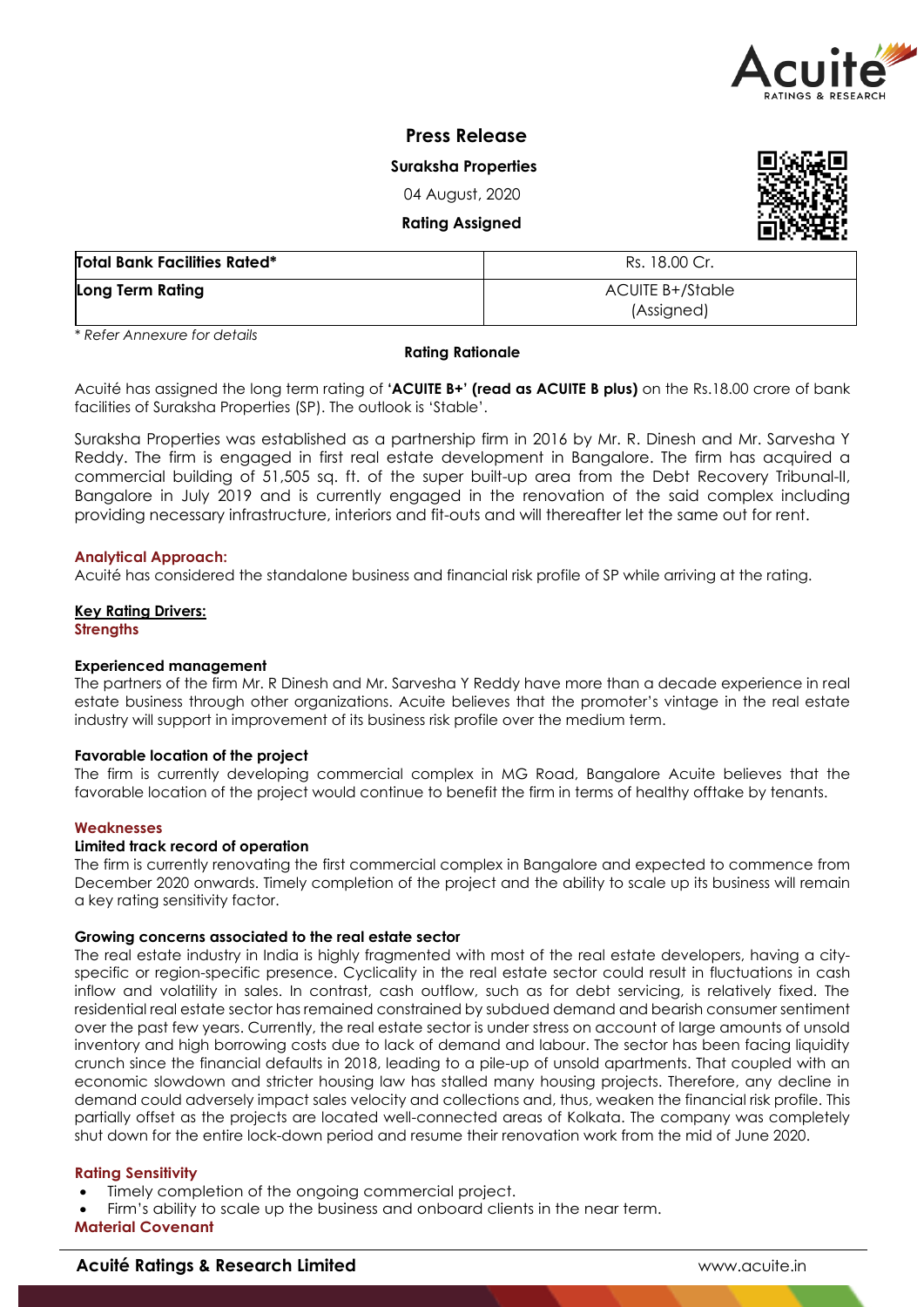

# **Press Release**

**Suraksha Properties** 

04 August, 2020

**Rating Assigned** 

| <b>Total Bank Facilities Rated*</b> | Rs. 18.00 Cr.                  |  |  |
|-------------------------------------|--------------------------------|--|--|
| Long Term Rating                    | ACUITE B+/Stable<br>(Assigned) |  |  |

*\* Refer Annexure for details*

#### **Rating Rationale**

Acuité has assigned the long term rating of **'ACUITE B+' (read as ACUITE B plus)** on the Rs.18.00 crore of bank facilities of Suraksha Properties (SP). The outlook is 'Stable'.

Suraksha Properties was established as a partnership firm in 2016 by Mr. R. Dinesh and Mr. Sarvesha Y Reddy. The firm is engaged in first real estate development in Bangalore. The firm has acquired a commercial building of 51,505 sq. ft. of the super built-up area from the Debt Recovery Tribunal-II, Bangalore in July 2019 and is currently engaged in the renovation of the said complex including providing necessary infrastructure, interiors and fit-outs and will thereafter let the same out for rent.

#### **Analytical Approach:**

Acuité has considered the standalone business and financial risk profile of SP while arriving at the rating.

#### **Key Rating Drivers: Strengths**

# **Experienced management**

The partners of the firm Mr. R Dinesh and Mr. Sarvesha Y Reddy have more than a decade experience in real estate business through other organizations. Acuite believes that the promoter's vintage in the real estate industry will support in improvement of its business risk profile over the medium term.

#### **Favorable location of the project**

The firm is currently developing commercial complex in MG Road, Bangalore Acuite believes that the favorable location of the project would continue to benefit the firm in terms of healthy offtake by tenants.

#### **Weaknesses**

#### **Limited track record of operation**

The firm is currently renovating the first commercial complex in Bangalore and expected to commence from December 2020 onwards. Timely completion of the project and the ability to scale up its business will remain a key rating sensitivity factor.

#### **Growing concerns associated to the real estate sector**

The real estate industry in India is highly fragmented with most of the real estate developers, having a cityspecific or region-specific presence. Cyclicality in the real estate sector could result in fluctuations in cash inflow and volatility in sales. In contrast, cash outflow, such as for debt servicing, is relatively fixed. The residential real estate sector has remained constrained by subdued demand and bearish consumer sentiment over the past few years. Currently, the real estate sector is under stress on account of large amounts of unsold inventory and high borrowing costs due to lack of demand and labour. The sector has been facing liquidity crunch since the financial defaults in 2018, leading to a pile-up of unsold apartments. That coupled with an economic slowdown and stricter housing law has stalled many housing projects. Therefore, any decline in demand could adversely impact sales velocity and collections and, thus, weaken the financial risk profile. This partially offset as the projects are located well-connected areas of Kolkata. The company was completely shut down for the entire lock-down period and resume their renovation work from the mid of June 2020.

#### **Rating Sensitivity**

- Timely completion of the ongoing commercial project.
- Firm's ability to scale up the business and onboard clients in the near term.

## **Material Covenant**

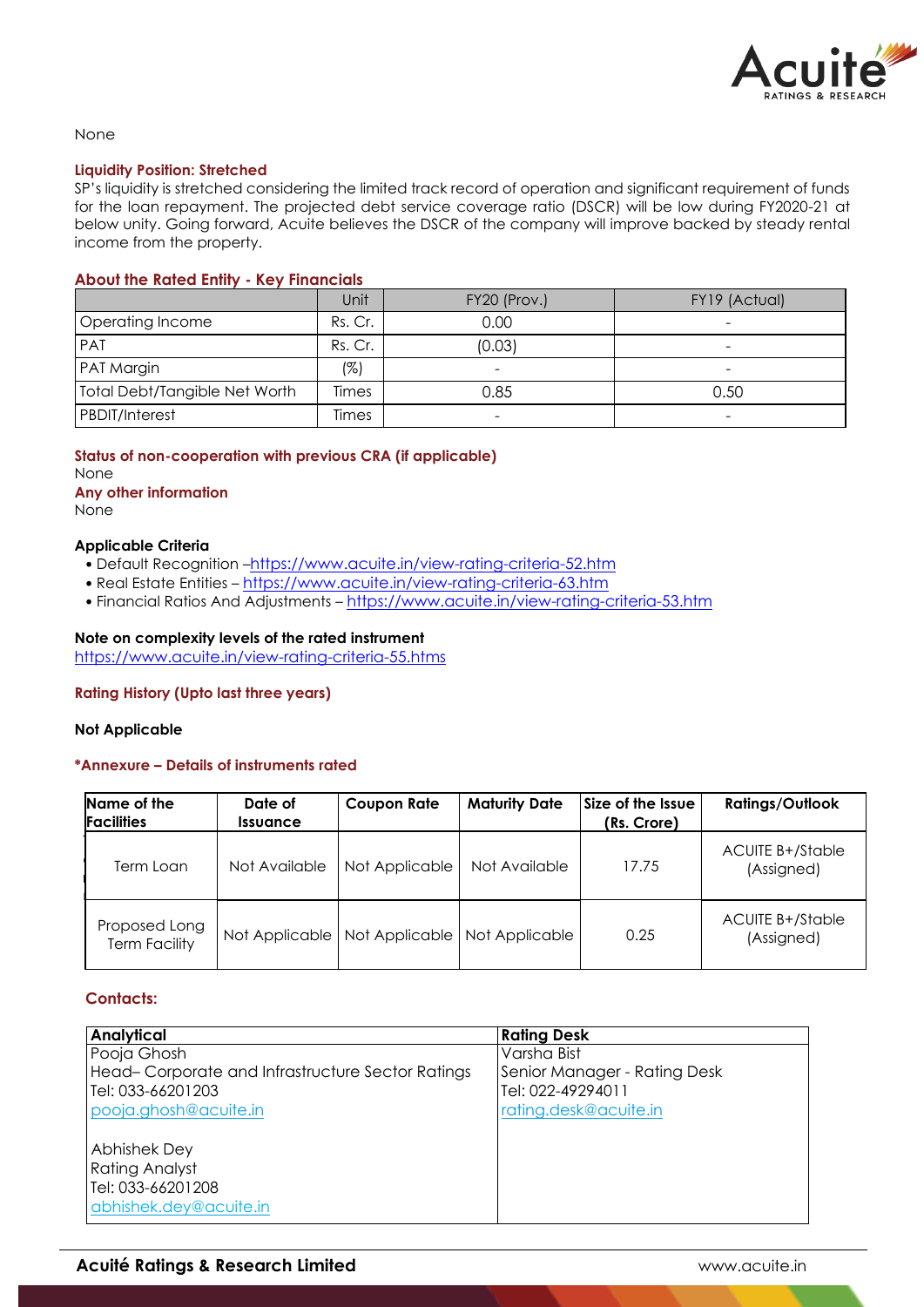

### None

## **Liquidity Position: Stretched**

SP's liquidity is stretched considering the limited track record of operation and significant requirement of funds for the loan repayment. The projected debt service coverage ratio (DSCR) will be low during FY2020-21 at below unity. Going forward, Acuite believes the DSCR of the company will improve backed by steady rental income from the property.

## **About the Rated Entity - Key Financials**

|                                      | Unit    | FY20 (Prov.) | FY19 (Actual)            |
|--------------------------------------|---------|--------------|--------------------------|
| Operating Income                     | Rs. Cr. | 0.00         |                          |
| <b>PAT</b>                           | Rs. Cr. | (0.03)       | -                        |
| PAT Margin                           | (%)     |              | $\overline{\phantom{0}}$ |
| <b>Total Debt/Tangible Net Worth</b> | Times   | 0.85         | 0.50                     |
| <b>PBDIT/Interest</b>                | Times   |              | -                        |

# **Status of non-cooperation with previous CRA (if applicable)**

None **Any other information**

None

## **Applicable Criteria**

- Default Recognition –https://www.acuite.in/view-rating-criteria-52.htm
- Real Estate Entities https://www.acuite.in/view-rating-criteria-63.htm
- Financial Ratios And Adjustments https://www.acuite.in/view-rating-criteria-53.htm

# **Note on complexity levels of the rated instrument**

https://www.acuite.in/view-rating-criteria-55.htms

# **Rating History (Upto last three years)**

#### **Not Applicable**

# **\*Annexure – Details of instruments rated**

| Name of the<br><b>Facilities</b>      | Date of<br><i><u><b>Issuance</b></u></i> | <b>Coupon Rate</b> | <b>Maturity Date</b>            | Size of the Issue<br>(Rs. Crore) | <b>Ratings/Outlook</b>                |
|---------------------------------------|------------------------------------------|--------------------|---------------------------------|----------------------------------|---------------------------------------|
| Term Loan                             | Not Available                            | Not Applicable     | Not Available                   | 17.75                            | <b>ACUITE B+/Stable</b><br>(Assigned) |
| Proposed Long<br><b>Term Facility</b> | Not Applicable                           |                    | Not Applicable   Not Applicable | 0.25                             | <b>ACUITE B+/Stable</b><br>(Assigned) |

# **Contacts:**

| <b>Analytical</b>                                | <b>Rating Desk</b>           |
|--------------------------------------------------|------------------------------|
| Pooja Ghosh                                      | Varsha Bist                  |
| Head-Corporate and Infrastructure Sector Ratings | Senior Manager - Rating Desk |
| Tel: 033-66201203                                | Tel: 022-49294011            |
| pooja.ghosh@acuite.in                            | rating.desk@acuite.in        |
| <b>Abhishek Dey</b>                              |                              |
| <b>Rating Analyst</b>                            |                              |
| Tel: 033-66201208                                |                              |
| abhishek.dey@acuite.in                           |                              |